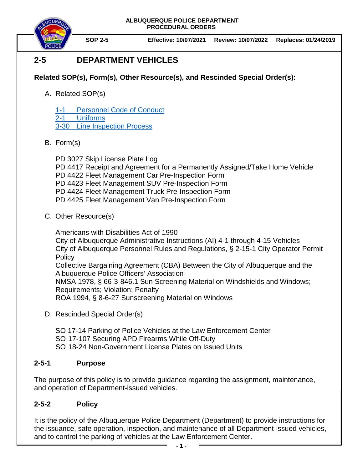

**SOP 2-5 Effective: 10/07/2021 Review: 10/07/2022 Replaces: 01/24/2019**

# **2-5 DEPARTMENT VEHICLES**

# **Related SOP(s), Form(s), Other Resource(s), and Rescinded Special Order(s):**

A. Related SOP(s)

1-1 [Personnel Code of Conduct](https://powerdms.com/docs/1700599) 2-1 [Uniforms](https://powerdms.com/docs/84)

- 3-30 [Line Inspection Process](https://powerdms.com/docs/183)
- B. Form(s)

PD 3027 Skip License Plate Log PD 4417 Receipt and Agreement for a Permanently Assigned/Take Home Vehicle PD 4422 Fleet Management Car Pre-Inspection Form PD 4423 Fleet Management SUV Pre-Inspection Form PD 4424 Fleet Management Truck Pre-Inspection Form PD 4425 Fleet Management Van Pre-Inspection Form

C. Other Resource(s)

Americans with Disabilities Act of 1990 City of Albuquerque Administrative Instructions (AI) 4-1 through 4-15 Vehicles City of Albuquerque Personnel Rules and Regulations, § 2-15-1 City Operator Permit **Policy** Collective Bargaining Agreement (CBA) Between the City of Albuquerque and the Albuquerque Police Officers' Association NMSA 1978, § 66-3-846.1 Sun Screening Material on Windshields and Windows; Requirements; Violation; Penalty ROA 1994, § 8-6-27 Sunscreening Material on Windows

D. Rescinded Special Order(s)

SO 17-14 Parking of Police Vehicles at the Law Enforcement Center

- SO 17-107 Securing APD Firearms While Off-Duty
- SO 18-24 Non-Government License Plates on Issued Units

# **2-5-1 Purpose**

The purpose of this policy is to provide guidance regarding the assignment, maintenance, and operation of Department-issued vehicles.

# **2-5-2 Policy**

It is the policy of the Albuquerque Police Department (Department) to provide instructions for the issuance, safe operation, inspection, and maintenance of all Department-issued vehicles, and to control the parking of vehicles at the Law Enforcement Center.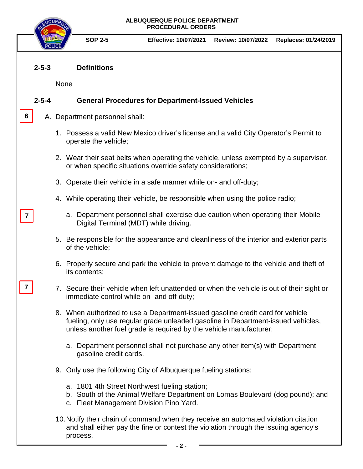### **2-5-3 Definitions**

None

**6**

**7**

**7**

## **2-5-4 General Procedures for Department-Issued Vehicles**

## A. Department personnel shall:

- 1. Possess a valid New Mexico driver's license and a valid City Operator's Permit to operate the vehicle;
- 2. Wear their seat belts when operating the vehicle, unless exempted by a supervisor, or when specific situations override safety considerations;
- 3. Operate their vehicle in a safe manner while on- and off-duty;
- 4. While operating their vehicle, be responsible when using the police radio;
	- a. Department personnel shall exercise due caution when operating their Mobile Digital Terminal (MDT) while driving.
- 5. Be responsible for the appearance and cleanliness of the interior and exterior parts of the vehicle;
- 6. Properly secure and park the vehicle to prevent damage to the vehicle and theft of its contents;
- 7. Secure their vehicle when left unattended or when the vehicle is out of their sight or immediate control while on- and off-duty;
- 8. When authorized to use a Department-issued gasoline credit card for vehicle fueling, only use regular grade unleaded gasoline in Department-issued vehicles, unless another fuel grade is required by the vehicle manufacturer;
	- a. Department personnel shall not purchase any other item(s) with Department gasoline credit cards.
- 9. Only use the following City of Albuquerque fueling stations:
	- a. 1801 4th Street Northwest fueling station;
	- b. South of the Animal Welfare Department on Lomas Boulevard (dog pound); and
	- c. Fleet Management Division Pino Yard.
- 10.Notify their chain of command when they receive an automated violation citation and shall either pay the fine or contest the violation through the issuing agency's process.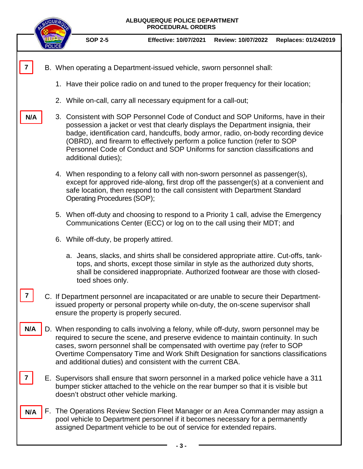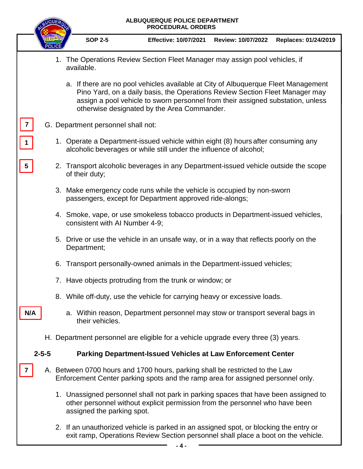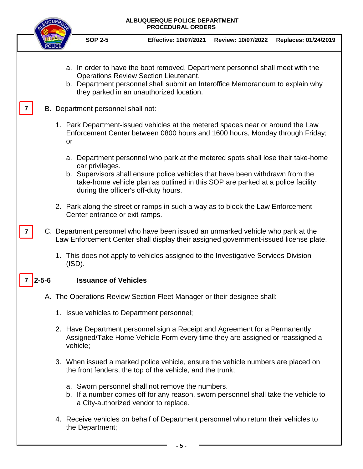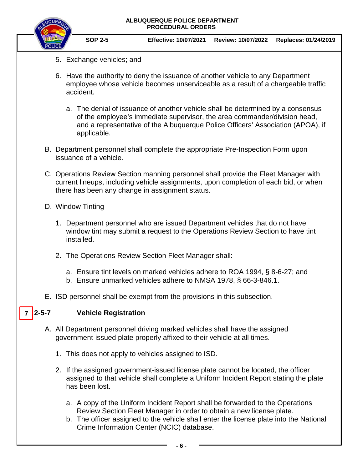

**SOP 2-5 Effective: 10/07/2021 Review: 10/07/2022 Replaces: 01/24/2019**

- 5. Exchange vehicles; and
- 6. Have the authority to deny the issuance of another vehicle to any Department employee whose vehicle becomes unserviceable as a result of a chargeable traffic accident.
	- a. The denial of issuance of another vehicle shall be determined by a consensus of the employee's immediate supervisor, the area commander/division head, and a representative of the Albuquerque Police Officers' Association (APOA), if applicable.
- B. Department personnel shall complete the appropriate Pre-Inspection Form upon issuance of a vehicle.
- C. Operations Review Section manning personnel shall provide the Fleet Manager with current lineups, including vehicle assignments, upon completion of each bid, or when there has been any change in assignment status.
- D. Window Tinting
	- 1. Department personnel who are issued Department vehicles that do not have window tint may submit a request to the Operations Review Section to have tint installed.
	- 2. The Operations Review Section Fleet Manager shall:
		- a. Ensure tint levels on marked vehicles adhere to ROA 1994, § 8-6-27; and
		- b. Ensure unmarked vehicles adhere to NMSA 1978, § 66-3-846.1.
- E. ISD personnel shall be exempt from the provisions in this subsection.

#### **2-5-7 Vehicle Registration**  $7 \mid 2 - 5 - 7$

- A. All Department personnel driving marked vehicles shall have the assigned government-issued plate properly affixed to their vehicle at all times.
	- 1. This does not apply to vehicles assigned to ISD.
	- 2. If the assigned government-issued license plate cannot be located, the officer assigned to that vehicle shall complete a Uniform Incident Report stating the plate has been lost.
		- a. A copy of the Uniform Incident Report shall be forwarded to the Operations Review Section Fleet Manager in order to obtain a new license plate.
		- b. The officer assigned to the vehicle shall enter the license plate into the National Crime Information Center (NCIC) database.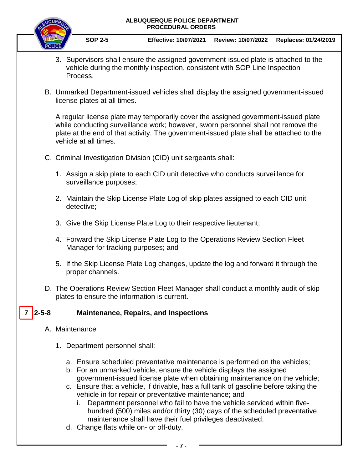

- 3. Supervisors shall ensure the assigned government-issued plate is attached to the vehicle during the monthly inspection, consistent with SOP Line Inspection Process.
- B. Unmarked Department-issued vehicles shall display the assigned government-issued license plates at all times.

A regular license plate may temporarily cover the assigned government-issued plate while conducting surveillance work; however, sworn personnel shall not remove the plate at the end of that activity. The government-issued plate shall be attached to the vehicle at all times.

- C. Criminal Investigation Division (CID) unit sergeants shall:
	- 1. Assign a skip plate to each CID unit detective who conducts surveillance for surveillance purposes;
	- 2. Maintain the Skip License Plate Log of skip plates assigned to each CID unit detective;
	- 3. Give the Skip License Plate Log to their respective lieutenant;
	- 4. Forward the Skip License Plate Log to the Operations Review Section Fleet Manager for tracking purposes; and
	- 5. If the Skip License Plate Log changes, update the log and forward it through the proper channels.
- D. The Operations Review Section Fleet Manager shall conduct a monthly audit of skip plates to ensure the information is current.

#### **2-5-8 Maintenance, Repairs, and Inspections**  $7 \mid 2 - 5 - 8$

- A. Maintenance
	- 1. Department personnel shall:
		- a. Ensure scheduled preventative maintenance is performed on the vehicles;
		- b. For an unmarked vehicle, ensure the vehicle displays the assigned government-issued license plate when obtaining maintenance on the vehicle;
		- c. Ensure that a vehicle, if drivable, has a full tank of gasoline before taking the vehicle in for repair or preventative maintenance; and
			- i. Department personnel who fail to have the vehicle serviced within fivehundred (500) miles and/or thirty (30) days of the scheduled preventative maintenance shall have their fuel privileges deactivated.
		- d. Change flats while on- or off-duty.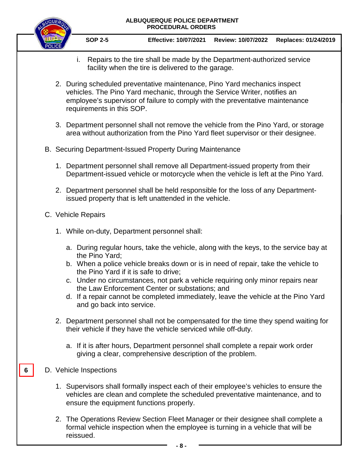

- i. Repairs to the tire shall be made by the Department-authorized service facility when the tire is delivered to the garage.
- 2. During scheduled preventative maintenance, Pino Yard mechanics inspect vehicles. The Pino Yard mechanic, through the Service Writer, notifies an employee's supervisor of failure to comply with the preventative maintenance requirements in this SOP.
- 3. Department personnel shall not remove the vehicle from the Pino Yard, or storage area without authorization from the Pino Yard fleet supervisor or their designee.
- B. Securing Department-Issued Property During Maintenance
	- 1. Department personnel shall remove all Department-issued property from their Department-issued vehicle or motorcycle when the vehicle is left at the Pino Yard.
	- 2. Department personnel shall be held responsible for the loss of any Departmentissued property that is left unattended in the vehicle.
- C. Vehicle Repairs
	- 1. While on-duty, Department personnel shall:
		- a. During regular hours, take the vehicle, along with the keys, to the service bay at the Pino Yard;
		- b. When a police vehicle breaks down or is in need of repair, take the vehicle to the Pino Yard if it is safe to drive;
		- c. Under no circumstances, not park a vehicle requiring only minor repairs near the Law Enforcement Center or substations; and
		- d. If a repair cannot be completed immediately, leave the vehicle at the Pino Yard and go back into service.
	- 2. Department personnel shall not be compensated for the time they spend waiting for their vehicle if they have the vehicle serviced while off-duty.
		- a. If it is after hours, Department personnel shall complete a repair work order giving a clear, comprehensive description of the problem.
- D. Vehicle Inspections

**6**

- 1. Supervisors shall formally inspect each of their employee's vehicles to ensure the vehicles are clean and complete the scheduled preventative maintenance, and to ensure the equipment functions properly.
- 2. The Operations Review Section Fleet Manager or their designee shall complete a formal vehicle inspection when the employee is turning in a vehicle that will be reissued.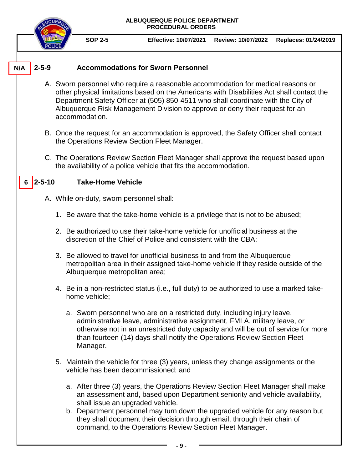**ALBUQUERQUE POLICE DEPARTMENT PROCEDURAL ORDERS SOP 2-5 Effective: 10/07/2021 Review: 10/07/2022 Replaces: 01/24/2019 2-5-9 Accommodations for Sworn Personnel** A. Sworn personnel who require a reasonable accommodation for medical reasons or other physical limitations based on the Americans with Disabilities Act shall contact the Department Safety Officer at (505) 850-4511 who shall coordinate with the City of Albuquerque Risk Management Division to approve or deny their request for an accommodation. B. Once the request for an accommodation is approved, the Safety Officer shall contact the Operations Review Section Fleet Manager. C. The Operations Review Section Fleet Manager shall approve the request based upon the availability of a police vehicle that fits the accommodation. **2-5-10 Take-Home Vehicle** A. While on-duty, sworn personnel shall: 1. Be aware that the take-home vehicle is a privilege that is not to be abused; 2. Be authorized to use their take-home vehicle for unofficial business at the discretion of the Chief of Police and consistent with the CBA; 3. Be allowed to travel for unofficial business to and from the Albuquerque metropolitan area in their assigned take-home vehicle if they reside outside of the Albuquerque metropolitan area; 4. Be in a non-restricted status (i.e., full duty) to be authorized to use a marked takehome vehicle; a. Sworn personnel who are on a restricted duty, including injury leave, administrative leave, administrative assignment, FMLA, military leave, or otherwise not in an unrestricted duty capacity and will be out of service for more than fourteen (14) days shall notify the Operations Review Section Fleet Manager. 5. Maintain the vehicle for three (3) years, unless they change assignments or the vehicle has been decommissioned; and a. After three (3) years, the Operations Review Section Fleet Manager shall make an assessment and, based upon Department seniority and vehicle availability, shall issue an upgraded vehicle. b. Department personnel may turn down the upgraded vehicle for any reason but they shall document their decision through email, through their chain of command, to the Operations Review Section Fleet Manager. **6 N/A**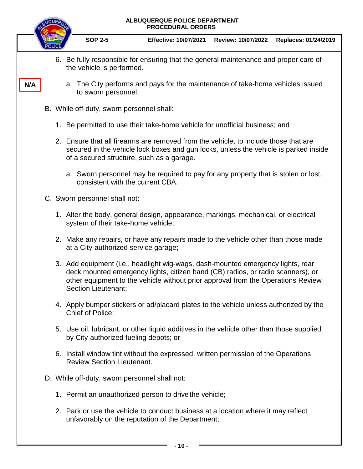